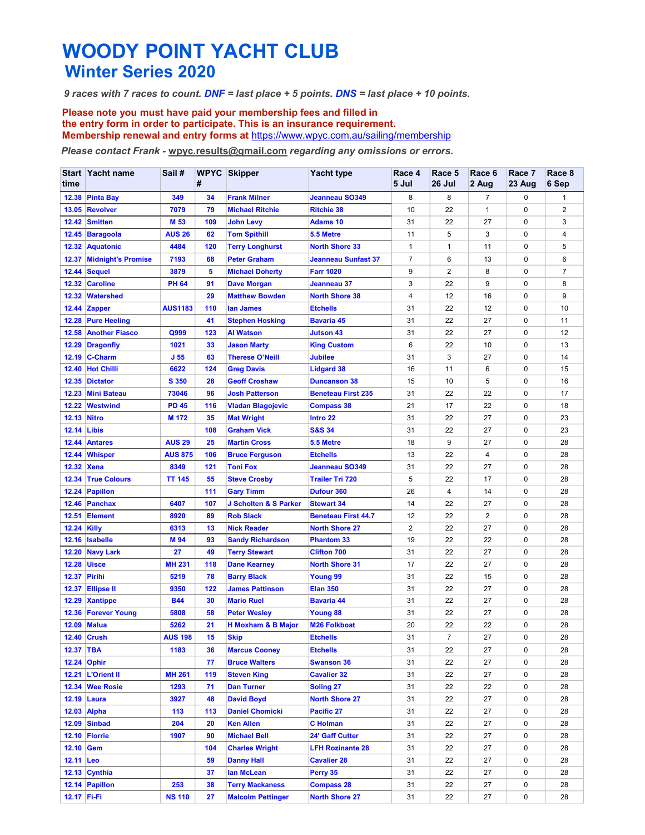## WOODY POINT YACHT CLUB

WOODY POINT YACHT CLUB<br>Winter Series 2020<br>Traces with 7 races to count. DNF = last place + 5 points. DNS = last place + 10 points<br>Please note you must have paid your membership fees and filled in<br>the entry form in order to WOODY POINT YACHT CLUB<br>
9 races with 7 races to count. DNF = last place + 5 points. DNS = last place + 10 points.<br>
Please note you must have paid your membership fees and filled in<br>
the entry form in order to participate. WOODY POINT YACHT CLUB<br>
9 races with 7 races to count. DNF = last place + 5 points. DNS = last place + 10 points.<br>
Please note you must have paid your membership fees and filled in<br>
the entry form in order to participate. the entry form in order to participate. This is an insurance requirement.<br>Membership renewal and entry forms at https://www.wpyc.com.au/sailing/membership

|                                                                                  | <b>Winter Series 2020</b>                |                                 |            | <b>WOODY POINT YACHT CLUB</b>                                     |                                                                                                                                                               |                     |                      |                    |                  |                     |
|----------------------------------------------------------------------------------|------------------------------------------|---------------------------------|------------|-------------------------------------------------------------------|---------------------------------------------------------------------------------------------------------------------------------------------------------------|---------------------|----------------------|--------------------|------------------|---------------------|
|                                                                                  |                                          |                                 |            |                                                                   |                                                                                                                                                               |                     |                      |                    |                  |                     |
|                                                                                  |                                          |                                 |            |                                                                   | 9 races with 7 races to count. DNF = last place + 5 points. DNS = last place + 10 points.                                                                     |                     |                      |                    |                  |                     |
|                                                                                  |                                          |                                 |            | Please note you must have paid your membership fees and filled in |                                                                                                                                                               |                     |                      |                    |                  |                     |
|                                                                                  |                                          |                                 |            |                                                                   | the entry form in order to participate. This is an insurance requirement.<br>Membership renewal and entry forms at https://www.wpyc.com.au/sailing/membership |                     |                      |                    |                  |                     |
| Please contact Frank - wpyc.results@gmail.com regarding any omissions or errors. |                                          |                                 |            |                                                                   |                                                                                                                                                               |                     |                      |                    |                  |                     |
| time                                                                             | Start Yacht name                         | Sail #                          | #          | <b>WPYC Skipper</b>                                               | <b>Yacht type</b>                                                                                                                                             | Race 4<br>5 Jul     | Race 5<br>26 Jul     | Race 6<br>2 Aug    | Race 7<br>23 Aug | Race 8<br>6 Sep     |
|                                                                                  | 12.38 Pinta Bay                          | 349                             | 34         | <b>Frank Milner</b>                                               | Jeanneau SO349                                                                                                                                                | 8                   | 8                    | $\overline{7}$     | 0                | $\mathbf{1}$        |
|                                                                                  | 13.05 Revolver<br>12.42 Smitten          | 7079<br>M 53                    | 79<br>109  | <b>Michael Ritchie</b><br><b>John Levy</b>                        | <b>Ritchie 38</b><br><b>Adams 10</b>                                                                                                                          | 10<br>31            | 22<br>22             | $\mathbf{1}$<br>27 | 0<br>0           | 2<br>3              |
|                                                                                  | 12.45 Baragoola                          | <b>AUS 26</b>                   | 62         | <b>Tom Spithill</b>                                               | 5.5 Metre                                                                                                                                                     | 11                  | 5                    | 3                  | 0                | 4                   |
|                                                                                  | 12.32 Aquatonic                          | 4484                            | 120        | <b>Terry Longhurst</b>                                            | <b>North Shore 33</b>                                                                                                                                         | $\mathbf 1$         | 1                    | 11                 | 0                | 5                   |
|                                                                                  | 12.37 Midnight's Promise<br>12.44 Sequel | 7193<br>3879                    | 68<br>5    | <b>Peter Graham</b><br><b>Michael Doherty</b>                     | <b>Jeanneau Sunfast 37</b><br><b>Farr 1020</b>                                                                                                                | $\overline{7}$<br>9 | 6<br>2               | 13<br>8            | 0<br>0           | 6<br>$\overline{7}$ |
|                                                                                  | 12.32 Caroline                           | <b>PH 64</b>                    | 91         | <b>Dave Morgan</b>                                                | Jeanneau 37                                                                                                                                                   | 3                   | 22                   | 9                  | 0                | 8                   |
|                                                                                  | 12.32 Watershed                          |                                 | 29         | <b>Matthew Bowden</b>                                             | <b>North Shore 38</b>                                                                                                                                         | $\overline{4}$      | 12                   | 16                 | 0                | 9                   |
|                                                                                  | 12.44 Zapper<br>12.28 Pure Heeling       | <b>AUS1183</b>                  | 110<br>41  | lan James<br><b>Stephen Hosking</b>                               | <b>Etchells</b><br><b>Bavaria 45</b>                                                                                                                          | 31<br>31            | 22<br>22             | 12<br>27           | 0<br>0           | 10<br>11            |
|                                                                                  | 12.58 Another Fiasco                     | Q999                            | 123        | <b>Al Watson</b>                                                  | <b>Jutson 43</b>                                                                                                                                              | 31                  | 22                   | 27                 | 0                | 12                  |
|                                                                                  | 12.29 Dragonfly                          | 1021                            | 33         | <b>Jason Marty</b>                                                | <b>King Custom</b>                                                                                                                                            | 6                   | 22                   | 10                 | 0                | 13                  |
|                                                                                  | 12.19 C-Charm<br>12.40 Hot Chilli        | J <sub>55</sub><br>6622         | 63<br>124  | <b>Therese O'Neill</b><br><b>Greg Davis</b>                       | <b>Jubilee</b><br><b>Lidgard 38</b>                                                                                                                           | 31<br>16            | 3<br>11              | 27<br>6            | 0<br>0           | 14<br>15            |
|                                                                                  | 12.35 Dictator                           | S 350                           | 28         | <b>Geoff Croshaw</b>                                              | <b>Duncanson 38</b>                                                                                                                                           | 15                  | 10                   | 5                  | 0                | 16                  |
|                                                                                  | 12.23 Mini Bateau<br>12.22 Westwind      | 73046<br><b>PD 45</b>           | 96<br>116  | <b>Josh Patterson</b><br><b>Vladan Blagojevic</b>                 | <b>Beneteau First 235</b><br><b>Compass 38</b>                                                                                                                | 31<br>21            | 22<br>17             | 22<br>22           | 0<br>0           | 17<br>18            |
| 12.13 Nitro                                                                      |                                          | M 172                           | 35         | <b>Mat Wright</b>                                                 | Intro 22                                                                                                                                                      | 31                  | 22                   | 27                 | 0                | 23                  |
| <b>12.14 Libis</b>                                                               |                                          |                                 | 108        | <b>Graham Vick</b>                                                | <b>S&amp;S 34</b>                                                                                                                                             | 31                  | 22                   | 27                 | 0                | 23                  |
|                                                                                  | 12.44 Antares<br>12.44 Whisper           | <b>AUS 29</b><br><b>AUS 875</b> | 25<br>106  | <b>Martin Cross</b><br><b>Bruce Ferguson</b>                      | 5.5 Metre<br><b>Etchells</b>                                                                                                                                  | 18<br>13            | 9<br>22              | 27<br>4            | 0<br>0           | 28<br>28            |
| 12.32 Xena                                                                       |                                          | 8349                            | 121        | <b>Toni Fox</b>                                                   | Jeanneau SO349                                                                                                                                                | 31                  | 22                   | 27                 | 0                | 28                  |
|                                                                                  | 12.34 True Colours                       | <b>TT 145</b>                   | 55         | <b>Steve Crosby</b>                                               | <b>Trailer Tri 720</b>                                                                                                                                        | 5                   | 22                   | 17                 | 0                | 28                  |
|                                                                                  | 12.24 Papillon<br>12.46 Panchax          | 6407                            | 111<br>107 | <b>Gary Timm</b><br>J Scholten & S Parker                         | Dufour 360<br><b>Stewart 34</b>                                                                                                                               | 26<br>14            | 4<br>22              | 14<br>27           | 0<br>0           | 28<br>28            |
|                                                                                  | 12.51 Element                            | 8920                            | 89         | <b>Rob Slack</b>                                                  | <b>Beneteau First 44.7</b>                                                                                                                                    | 12                  | 22                   | $\overline{2}$     | 0                | 28                  |
| <b>12.24 Killy</b>                                                               |                                          | 6313                            | 13         | <b>Nick Reader</b>                                                | <b>North Shore 27</b>                                                                                                                                         | $\overline{2}$      | 22                   | 27                 | 0                | 28                  |
|                                                                                  | 12.16 Isabelle<br>12.20 Navy Lark        | M 94<br>27                      | 93<br>49   | <b>Sandy Richardson</b><br><b>Terry Stewart</b>                   | <b>Phantom 33</b><br><b>Clifton 700</b>                                                                                                                       | 19<br>31            | 22<br>22             | 22<br>27           | 0<br>0           | 28<br>28            |
|                                                                                  | <b>12.28 Uisce</b>                       | <b>MH 231</b>                   | 118        | <b>Dane Kearney</b>                                               | <b>North Shore 31</b>                                                                                                                                         | 17                  | 22                   | 27                 | 0                | 28                  |
|                                                                                  | <b>12.37 Pirihi</b>                      | 5219                            | 78         | <b>Barry Black</b>                                                | Young 99                                                                                                                                                      | 31                  | 22                   | 15                 | 0                | 28                  |
|                                                                                  | 12.37 Ellipse II<br>12.29 Xantippe       | 9350<br><b>B44</b>              | 122<br>30  | <b>James Pattinson</b><br><b>Mario Ruel</b>                       | <b>Elan 350</b><br><b>Bavaria 44</b>                                                                                                                          | 31<br>31            | 22<br>22             | 27<br>27           | 0<br>0           | 28<br>28            |
|                                                                                  | 12.36 Forever Young                      | 5808                            | 58         | <b>Peter Wesley</b>                                               | <b>Young 88</b>                                                                                                                                               | 31                  | 22                   | 27                 | 0                | 28                  |
|                                                                                  | 12.09 Malua                              | 5262                            | 21         | <b>H</b> Moxham & B Major                                         | <b>M26 Folkboat</b>                                                                                                                                           | 20                  | 22                   | 22                 | 0                | 28                  |
| 12.37 TBA                                                                        | <b>12.40 Crush</b>                       | <b>AUS 198</b><br>1183          | 15<br>36   | <b>Skip</b><br><b>Marcus Cooney</b>                               | <b>Etchells</b><br><b>Etchells</b>                                                                                                                            | 31<br>31            | $\overline{7}$<br>22 | 27<br>27           | 0<br>0           | 28<br>28            |
|                                                                                  | 12.24 Ophir                              |                                 | 77         | <b>Bruce Walters</b>                                              | <b>Swanson 36</b>                                                                                                                                             | 31                  | 22                   | 27                 | 0                | 28                  |
|                                                                                  | 12.21 L'Orient II                        | <b>MH 261</b>                   | 119        | <b>Steven King</b>                                                | <b>Cavalier 32</b>                                                                                                                                            | 31                  | 22                   | 27                 | 0                | 28                  |
|                                                                                  | 12.34 Wee Rosie<br>12.19 Laura           | 1293<br>3927                    | 71<br>48   | <b>Dan Turner</b><br><b>David Boyd</b>                            | Soling 27<br><b>North Shore 27</b>                                                                                                                            | 31<br>31            | 22<br>22             | 22<br>27           | 0<br>0           | 28<br>28            |
|                                                                                  | 12.03 Alpha                              | 113                             | 113        | <b>Daniel Chomicki</b>                                            | Pacific 27                                                                                                                                                    | 31                  | 22                   | 27                 | 0                | 28                  |
|                                                                                  | <b>12.09 Sinbad</b>                      | 204                             | 20         | <b>Ken Allen</b>                                                  | <b>C</b> Holman                                                                                                                                               | 31                  | 22                   | 27                 | 0                | 28                  |
| 12.10 Gem                                                                        | 12.10 Florrie                            | 1907                            | 90<br>104  | <b>Michael Bell</b><br><b>Charles Wright</b>                      | 24' Gaff Cutter<br><b>LFH Rozinante 28</b>                                                                                                                    | 31<br>31            | 22<br>22             | 27<br>27           | 0<br>0           | 28<br>28            |
| 12.11 Leo                                                                        |                                          |                                 | 59         | <b>Danny Hall</b>                                                 | <b>Cavalier 28</b>                                                                                                                                            | 31                  | 22                   | 27                 | 0                | 28                  |
|                                                                                  | 12.13 Cynthia                            |                                 | 37         | lan McLean                                                        | Perry 35                                                                                                                                                      | 31                  | 22                   | 27                 | 0                | 28                  |
|                                                                                  | 12.14 Papillon<br>12.17 Fi-Fi            | 253<br><b>NS 110</b>            | 38<br>27   | <b>Terry Mackaness</b><br><b>Malcolm Pettinger</b>                | <b>Compass 28</b><br><b>North Shore 27</b>                                                                                                                    | 31<br>31            | 22                   | 27                 | 0                | 28                  |
|                                                                                  |                                          |                                 |            |                                                                   |                                                                                                                                                               |                     | 22                   | 27                 | 0                | 28                  |